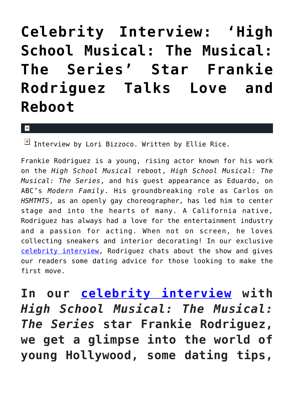## **[Celebrity Interview: 'High](https://cupidspulse.com/134322/celebrity-interview-high-school-musical-the-musical-the-series-frankie-rodriguez/) [School Musical: The Musical:](https://cupidspulse.com/134322/celebrity-interview-high-school-musical-the-musical-the-series-frankie-rodriguez/) [The Series' Star Frankie](https://cupidspulse.com/134322/celebrity-interview-high-school-musical-the-musical-the-series-frankie-rodriguez/) [Rodriguez Talks Love and](https://cupidspulse.com/134322/celebrity-interview-high-school-musical-the-musical-the-series-frankie-rodriguez/) [Reboot](https://cupidspulse.com/134322/celebrity-interview-high-school-musical-the-musical-the-series-frankie-rodriguez/)**

 $\mathbf{x}$ 

 $\boxed{\times}$  Interview by Lori Bizzoco. Written by Ellie Rice.

Frankie Rodriguez is a young, rising actor known for his work on the *High School Musical* reboot, *High School Musical: The Musical: The Series*, and his guest appearance as Eduardo, on ABC's *Modern Family*. His groundbreaking role as Carlos on *HSMTMTS*, as an openly gay choreographer, has led him to center stage and into the hearts of many. A California native, Rodriguez has always had a love for the entertainment industry and a passion for acting. When not on screen, he loves collecting sneakers and interior decorating! In our exclusive [celebrity interview,](http://cupidspulse.com/celebrity-news/celebrity-interviews/) Rodriguez chats about the show and gives our readers some dating advice for those looking to make the first move.

**In our [celebrity interview](http://cupidspulse.com/celebrity-news/celebrity-interviews/) with** *High School Musical: The Musical: The Series* **star Frankie Rodriguez, we get a glimpse into the world of young Hollywood, some dating tips,**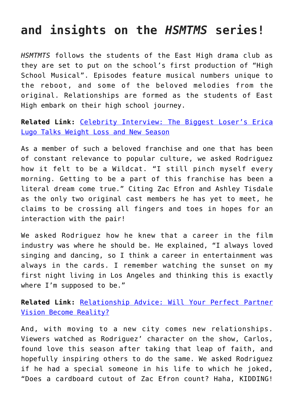## **and insights on the** *HSMTMS* **series!**

*HSMTMTS* follows the students of the East High drama club as they are set to put on the school's first production of "High School Musical". Episodes feature musical numbers unique to the reboot, and some of the beloved melodies from the original. Relationships are formed as the students of East High embark on their high school journey.

**Related Link:** [Celebrity Interview: The Biggest Loser's Erica](http://cupidspulse.com/134302/celebrity-interview-biggest-loser-erica-lugo-weight-loss-new-season/) [Lugo Talks Weight Loss and New Season](http://cupidspulse.com/134302/celebrity-interview-biggest-loser-erica-lugo-weight-loss-new-season/)

As a member of such a beloved franchise and one that has been of constant relevance to popular culture, we asked Rodriguez how it felt to be a Wildcat. "I still pinch myself every morning. Getting to be a part of this franchise has been a literal dream come true." Citing Zac Efron and Ashley Tisdale as the only two original cast members he has yet to meet, he claims to be crossing all fingers and toes in hopes for an interaction with the pair!

We asked Rodriguez how he knew that a career in the film industry was where he should be. He explained, "I always loved singing and dancing, so I think a career in entertainment was always in the cards. I remember watching the sunset on my first night living in Los Angeles and thinking this is exactly where I'm supposed to be."

**Related Link:** [Relationship Advice: Will Your Perfect Partner](http://cupidspulse.com/126956/relationship-advice-perfect-partner-vision-become-reality/) [Vision Become Reality?](http://cupidspulse.com/126956/relationship-advice-perfect-partner-vision-become-reality/)

And, with moving to a new city comes new relationships. Viewers watched as Rodriguez' character on the show, Carlos, found love this season after taking that leap of faith, and hopefully inspiring others to do the same. We asked Rodriguez if he had a special someone in his life to which he joked, "Does a cardboard cutout of Zac Efron count? Haha, KIDDING!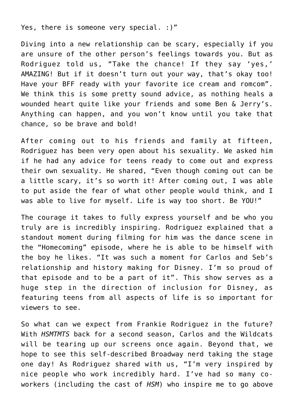Yes, there is someone very special. : )"

Diving into a new relationship can be scary, especially if you are unsure of the other person's feelings towards you. But as Rodriguez told us, "Take the chance! If they say 'yes,' AMAZING! But if it doesn't turn out your way, that's okay too! Have your BFF ready with your favorite ice cream and romcom". We think this is some pretty sound advice, as nothing heals a wounded heart quite like your friends and some Ben & Jerry's. Anything can happen, and you won't know until you take that chance, so be brave and bold!

After coming out to his friends and family at fifteen, Rodriguez has been very open about his sexuality. We asked him if he had any advice for teens ready to come out and express their own sexuality. He shared, "Even though coming out can be a little scary, it's so worth it! After coming out, I was able to put aside the fear of what other people would think, and I was able to live for myself. Life is way too short. Be YOU!"

The courage it takes to fully express yourself and be who you truly are is incredibly inspiring. Rodriguez explained that a standout moment during filming for him was the dance scene in the "Homecoming" episode, where he is able to be himself with the boy he likes. "It was such a moment for Carlos and Seb's relationship and history making for Disney. I'm so proud of that episode and to be a part of it". This show serves as a huge step in the direction of inclusion for Disney, as featuring teens from all aspects of life is so important for viewers to see.

So what can we expect from Frankie Rodriguez in the future? With *HSMTMTS* back for a second season, Carlos and the Wildcats will be tearing up our screens once again. Beyond that, we hope to see this self-described Broadway nerd taking the stage one day! As Rodriguez shared with us, "I'm very inspired by nice people who work incredibly hard. I've had so many coworkers (including the cast of *HSM*) who inspire me to go above